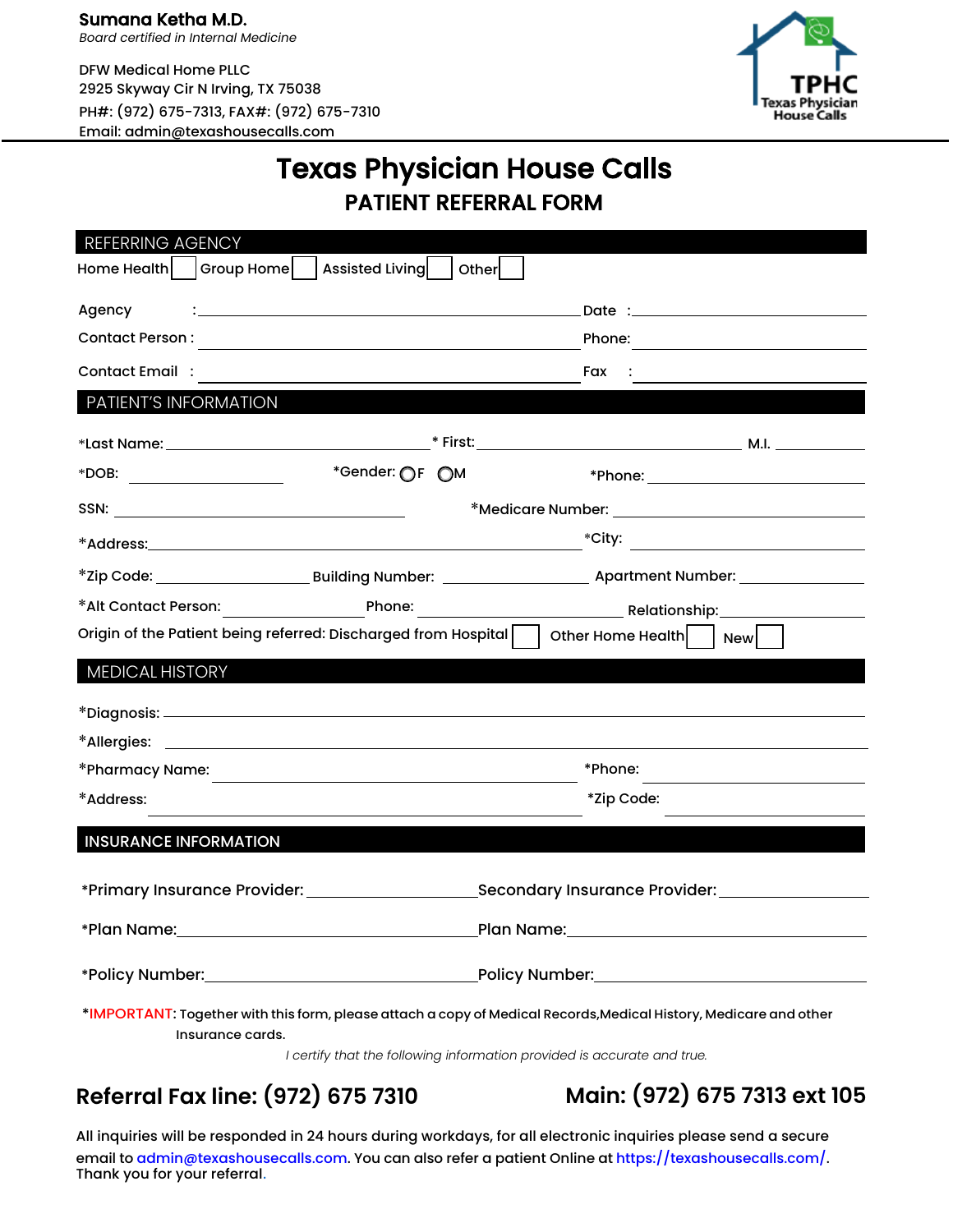DFW Medical Home PLLC 2925 Skyway Cir N Irving, TX 75038 PH#: (972) 675-7313, FAX#: (972) 675-7310 Email: admin@texashousecalls.com



## Texas Physician House Calls PATIENT REFERRAL FORM

| REFERRING AGENCY                                                                                                                      |                                                                                                                 |  |  |                    |
|---------------------------------------------------------------------------------------------------------------------------------------|-----------------------------------------------------------------------------------------------------------------|--|--|--------------------|
| Home Health   Group Home     Assisted Living   Other                                                                                  |                                                                                                                 |  |  |                    |
| Agency                                                                                                                                | the contract of the contract of the contract of the contract of the contract of the contract of the contract of |  |  |                    |
|                                                                                                                                       |                                                                                                                 |  |  | Phone:             |
| <b>Contact Email :</b>                                                                                                                |                                                                                                                 |  |  | Fax :              |
| PATIENT'S INFORMATION                                                                                                                 |                                                                                                                 |  |  |                    |
|                                                                                                                                       |                                                                                                                 |  |  |                    |
| *DOB: __________________                                                                                                              | *Gender: OF OM                                                                                                  |  |  |                    |
|                                                                                                                                       |                                                                                                                 |  |  |                    |
|                                                                                                                                       |                                                                                                                 |  |  | $\text{``City:}\n$ |
|                                                                                                                                       |                                                                                                                 |  |  |                    |
|                                                                                                                                       |                                                                                                                 |  |  |                    |
| Origin of the Patient being referred: Discharged from Hospital     Other Home Health     New                                          |                                                                                                                 |  |  |                    |
| MEDICAL HISTORY                                                                                                                       |                                                                                                                 |  |  |                    |
|                                                                                                                                       |                                                                                                                 |  |  |                    |
|                                                                                                                                       |                                                                                                                 |  |  |                    |
|                                                                                                                                       |                                                                                                                 |  |  |                    |
|                                                                                                                                       |                                                                                                                 |  |  | *Phone:            |
| *Address:                                                                                                                             |                                                                                                                 |  |  | *Zip Code:         |
| <b>INSURANCE INFORMATION</b>                                                                                                          |                                                                                                                 |  |  |                    |
|                                                                                                                                       |                                                                                                                 |  |  |                    |
|                                                                                                                                       |                                                                                                                 |  |  |                    |
|                                                                                                                                       |                                                                                                                 |  |  |                    |
|                                                                                                                                       |                                                                                                                 |  |  |                    |
| *IMPORTANT: Together with this form, please attach a copy of Medical Records, Medical History, Medicare and other<br>Insurance cards. |                                                                                                                 |  |  |                    |

*I certify that the following information provided is accurate and true.*

## **Referral Fax line: (972) 675 7310 Main: (972) 675 7313 ext 105**

All inquiries will be responded in 24 hours during workdays, for all electronic inquiries please send a secure email to admin@texashousecalls.com. You can also refer a patient Online at https://texashousecalls.com/. Thank you for your referral.